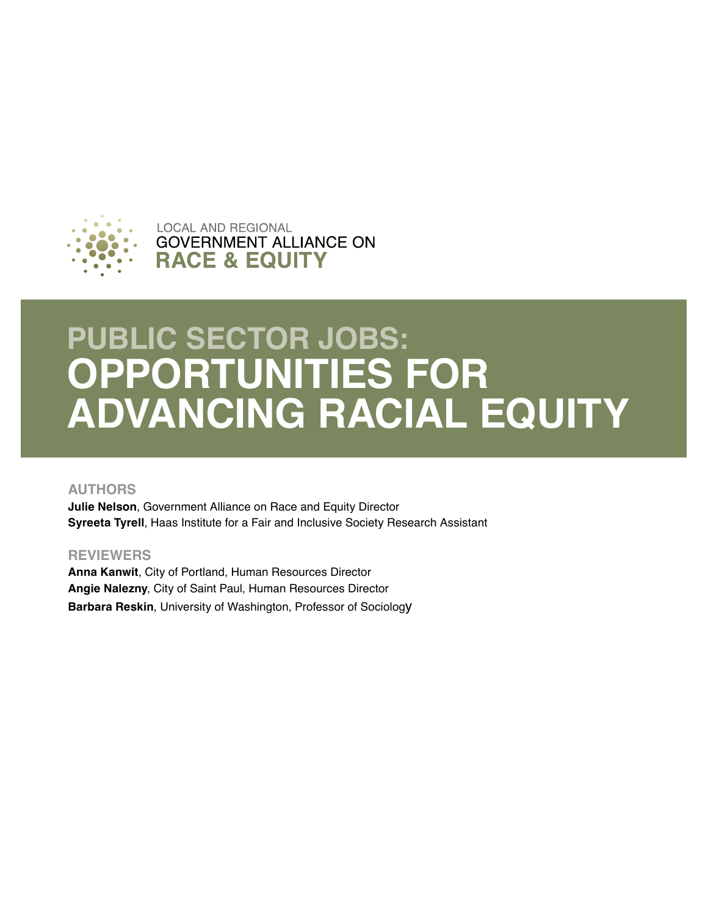

**LOCAL AND REGIONAL GOVERNMENT ALLIANCE ON RACE & EQUITY** 

# **PUBLIC SECTOR JOBS: OPPORTUNITIES FOR ADVANCING RACIAL EQUITY**

### **AUTHORS**

**Julie Nelson**, Government Alliance on Race and Equity Director **Syreeta Tyrell**, Haas Institute for a Fair and Inclusive Society Research Assistant

### **REVIEWERS**

**Anna Kanwit**, City of Portland, Human Resources Director **Angie Nalezny**, City of Saint Paul, Human Resources Director **Barbara Reskin**, University of Washington, Professor of Sociology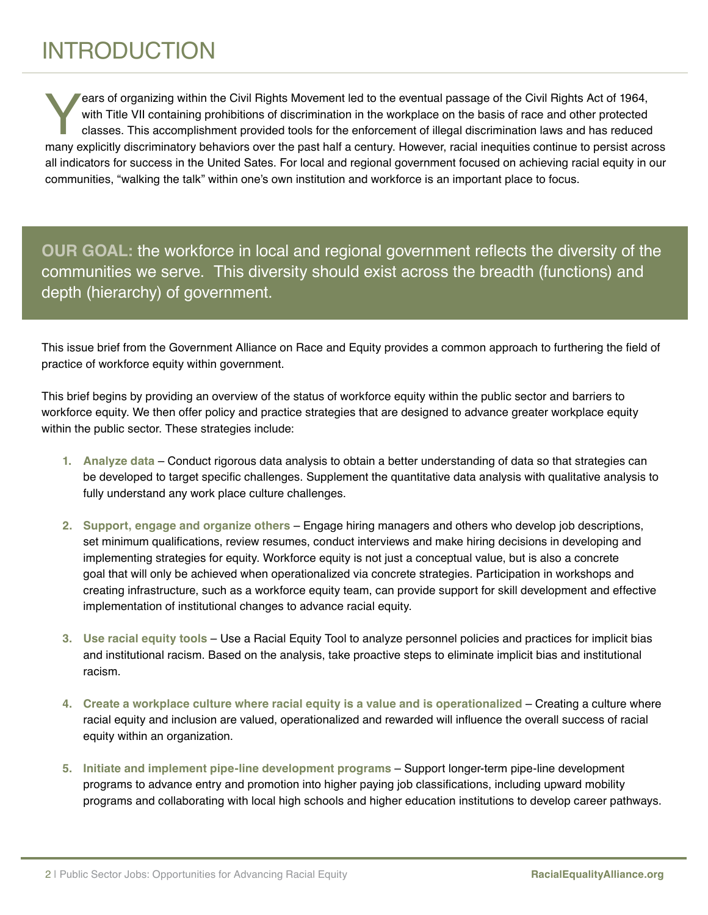# INTRODUCTION

Fears of organizing within the Civil Rights Movement led to the eventual passage of the Civil Rights Act of 1964, with Title VII containing prohibitions of discrimination in the workplace on the basis of race and other pro with Title VII containing prohibitions of discrimination in the workplace on the basis of race and other protected classes. This accomplishment provided tools for the enforcement of illegal discrimination laws and has reduced many explicitly discriminatory behaviors over the past half a century. However, racial inequities continue to persist across all indicators for success in the United Sates. For local and regional government focused on achieving racial equity in our communities, "walking the talk" within one's own institution and workforce is an important place to focus.

**OUR GOAL:** the workforce in local and regional government reflects the diversity of the communities we serve. This diversity should exist across the breadth (functions) and depth (hierarchy) of government.

This issue brief from the Government Alliance on Race and Equity provides a common approach to furthering the field of practice of workforce equity within government.

This brief begins by providing an overview of the status of workforce equity within the public sector and barriers to workforce equity. We then offer policy and practice strategies that are designed to advance greater workplace equity within the public sector. These strategies include:

- **1. Analyze data** Conduct rigorous data analysis to obtain a better understanding of data so that strategies can be developed to target specific challenges. Supplement the quantitative data analysis with qualitative analysis to fully understand any work place culture challenges.
- **2. Support, engage and organize others** Engage hiring managers and others who develop job descriptions, set minimum qualifications, review resumes, conduct interviews and make hiring decisions in developing and implementing strategies for equity. Workforce equity is not just a conceptual value, but is also a concrete goal that will only be achieved when operationalized via concrete strategies. Participation in workshops and creating infrastructure, such as a workforce equity team, can provide support for skill development and effective implementation of institutional changes to advance racial equity.
- **3. Use racial equity tools** Use a Racial Equity Tool to analyze personnel policies and practices for implicit bias and institutional racism. Based on the analysis, take proactive steps to eliminate implicit bias and institutional racism.
- **4. Create a workplace culture where racial equity is a value and is operationalized** Creating a culture where racial equity and inclusion are valued, operationalized and rewarded will influence the overall success of racial equity within an organization.
- **5. Initiate and implement pipe-line development programs** Support longer-term pipe-line development programs to advance entry and promotion into higher paying job classifications, including upward mobility programs and collaborating with local high schools and higher education institutions to develop career pathways.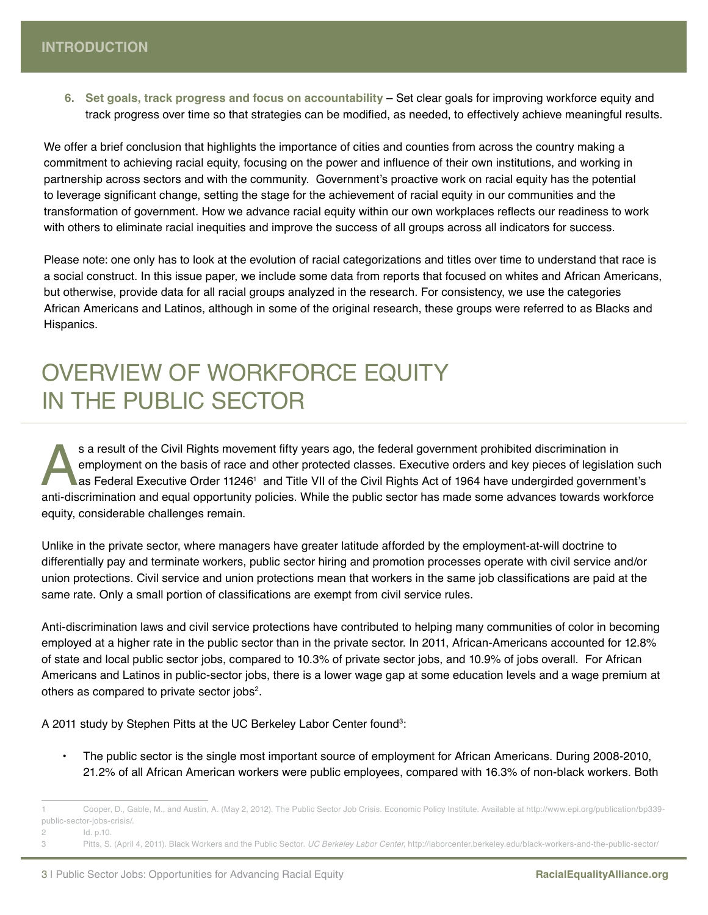**6. Set goals, track progress and focus on accountability** – Set clear goals for improving workforce equity and track progress over time so that strategies can be modified, as needed, to effectively achieve meaningful results.

We offer a brief conclusion that highlights the importance of cities and counties from across the country making a commitment to achieving racial equity, focusing on the power and influence of their own institutions, and working in partnership across sectors and with the community. Government's proactive work on racial equity has the potential to leverage significant change, setting the stage for the achievement of racial equity in our communities and the transformation of government. How we advance racial equity within our own workplaces reflects our readiness to work with others to eliminate racial inequities and improve the success of all groups across all indicators for success.

Please note: one only has to look at the evolution of racial categorizations and titles over time to understand that race is a social construct. In this issue paper, we include some data from reports that focused on whites and African Americans, but otherwise, provide data for all racial groups analyzed in the research. For consistency, we use the categories African Americans and Latinos, although in some of the original research, these groups were referred to as Blacks and Hispanics.

### OVERVIEW OF WORKFORCE EQUITY IN THE PUBLIC SECTOR

s a result of the Civil Rights movement fifty years ago, the federal government prohibited discrimination in<br>employment on the basis of race and other protected classes. Executive orders and key pieces of legislation such<br> employment on the basis of race and other protected classes. Executive orders and key pieces of legislation such as Federal Executive Order 11246' and Title VII of the Civil Rights Act of 1964 have undergirded government's equity, considerable challenges remain.

Unlike in the private sector, where managers have greater latitude afforded by the employment-at-will doctrine to differentially pay and terminate workers, public sector hiring and promotion processes operate with civil service and/or union protections. Civil service and union protections mean that workers in the same job classifications are paid at the same rate. Only a small portion of classifications are exempt from civil service rules.

Anti-discrimination laws and civil service protections have contributed to helping many communities of color in becoming employed at a higher rate in the public sector than in the private sector. In 2011, African-Americans accounted for 12.8% of state and local public sector jobs, compared to 10.3% of private sector jobs, and 10.9% of jobs overall. For African Americans and Latinos in public-sector jobs, there is a lower wage gap at some education levels and a wage premium at others as compared to private sector jobs<sup>2</sup>.

A 2011 study by Stephen Pitts at the UC Berkeley Labor Center found<sup>3</sup>:

• The public sector is the single most important source of employment for African Americans. During 2008-2010, 21.2% of all African American workers were public employees, compared with 16.3% of non-black workers. Both

2 Id. p.10.

<sup>1</sup> Cooper, D., Gable, M., and Austin, A. (May 2, 2012). The Public Sector Job Crisis. Economic Policy Institute. Available at http://www.epi.org/publication/bp339 public-sector-jobs-crisis/.

<sup>3</sup> Pitts, S. (April 4, 2011). Black Workers and the Public Sector. *UC Berkeley Labor Center*, http://laborcenter.berkeley.edu/black-workers-and-the-public-sector/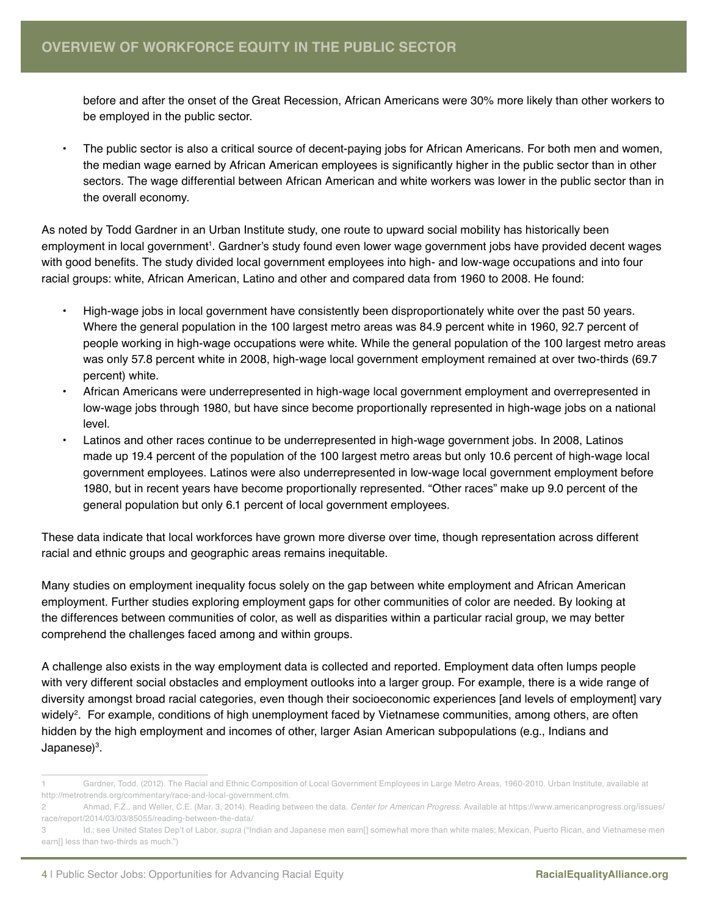before and after the onset of the Great Recession, African Americans were 30% more likely than other workers to be employed in the public sector.

• The public sector is also a critical source of decent-paying jobs for African Americans. For both men and women, the median wage earned by African American employees is significantly higher in the public sector than in other sectors. The wage differential between African American and white workers was lower in the public sector than in the overall economy.

As noted by Todd Gardner in an Urban Institute study, one route to upward social mobility has historically been employment in local government<sup>ı</sup>. Gardner's study found even lower wage government jobs have provided decent wages with good benefits. The study divided local government employees into high- and low-wage occupations and into four racial groups: white, African American, Latino and other and compared data from 1960 to 2008. He found:

- High-wage jobs in local government have consistently been disproportionately white over the past 50 years. Where the general population in the 100 largest metro areas was 84.9 percent white in 1960, 92.7 percent of people working in high-wage occupations were white. While the general population of the 100 largest metro areas was only 57.8 percent white in 2008, high-wage local government employment remained at over two-thirds (69.7 percent) white.
- African Americans were underrepresented in high-wage local government employment and overrepresented in low-wage jobs through 1980, but have since become proportionally represented in high-wage jobs on a national level.
- Latinos and other races continue to be underrepresented in high-wage government jobs. In 2008, Latinos made up 19.4 percent of the population of the 100 largest metro areas but only 10.6 percent of high-wage local government employees. Latinos were also underrepresented in low-wage local government employment before 1980, but in recent years have become proportionally represented. "Other races" make up 9.0 percent of the general population but only 6.1 percent of local government employees.

These data indicate that local workforces have grown more diverse over time, though representation across different racial and ethnic groups and geographic areas remains inequitable.

Many studies on employment inequality focus solely on the gap between white employment and African American employment. Further studies exploring employment gaps for other communities of color are needed. By looking at the differences between communities of color, as well as disparities within a particular racial group, we may better comprehend the challenges faced among and within groups.

A challenge also exists in the way employment data is collected and reported. Employment data often lumps people with very different social obstacles and employment outlooks into a larger group. For example, there is a wide range of diversity amongst broad racial categories, even though their socioeconomic experiences [and levels of employment] vary widely<sup>2</sup>. For example, conditions of high unemployment faced by Vietnamese communities, among others, are often hidden by the high employment and incomes of other, larger Asian American subpopulations (e.g., Indians and Japanese)<sup>3</sup>.

<sup>1</sup> Gardner, Todd. (2012). The Racial and Ethnic Composition of Local Government Employees in Large Metro Areas, 1960-2010. Urban Institute, available at http://metrotrends.org/commentary/race-and-local-government.cfm.

<sup>2</sup> Ahmad, F.Z., and Weller, C.E. (Mar. 3, 2014). Reading between the data. *Center for American Progress*. Available at https://www.americanprogress.org/issues/ race/report/2014/03/03/85055/reading-between-the-data/

<sup>3</sup> Id.; see United States Dep't of Labor, *supra* ("Indian and Japanese men earn[] somewhat more than white males; Mexican, Puerto Rican, and Vietnamese men earn[] less than two-thirds as much.")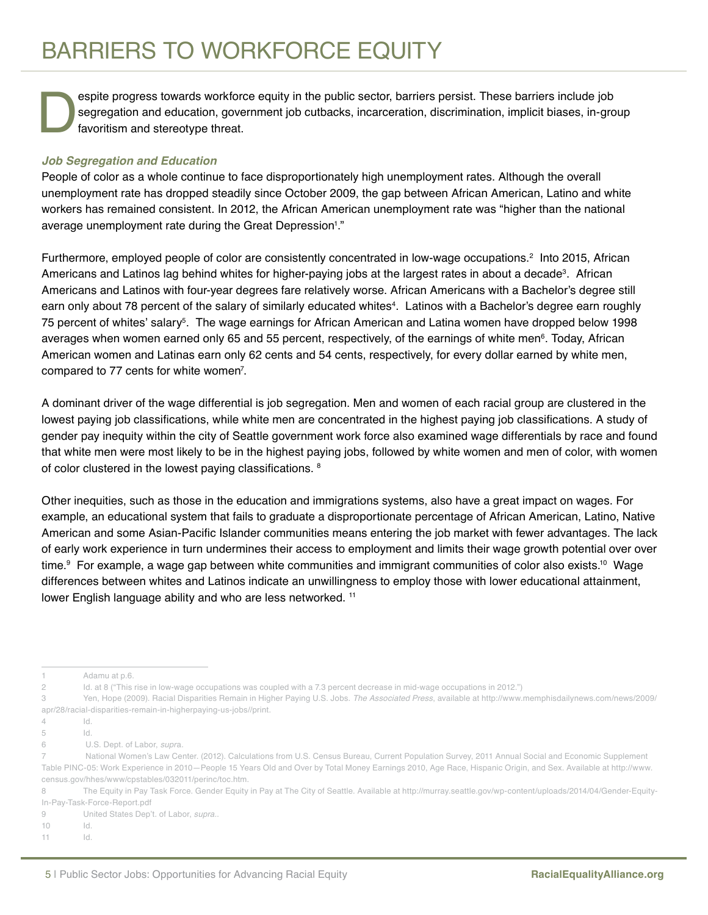espite progress towards workforce equity in the public sector, barriers persist. These barriers include job<br>segregation and education, government job cutbacks, incarceration, discrimination, implicit biases, in-gro<br>favorit segregation and education, government job cutbacks, incarceration, discrimination, implicit biases, in-group favoritism and stereotype threat.

#### *Job Segregation and Education*

People of color as a whole continue to face disproportionately high unemployment rates. Although the overall unemployment rate has dropped steadily since October 2009, the gap between African American, Latino and white workers has remained consistent. In 2012, the African American unemployment rate was "higher than the national average unemployment rate during the Great Depression<sup>1</sup>."

Furthermore, employed people of color are consistently concentrated in low-wage occupations.<sup>2</sup> Into 2015, African Americans and Latinos lag behind whites for higher-paying jobs at the largest rates in about a decade<sup>3</sup>. African Americans and Latinos with four-year degrees fare relatively worse. African Americans with a Bachelor's degree still earn only about 78 percent of the salary of similarly educated whites<sup>4</sup>. Latinos with a Bachelor's degree earn roughly 75 percent of whites' salary<sup>s</sup>. The wage earnings for African American and Latina women have dropped below 1998 averages when women earned only 65 and 55 percent, respectively, of the earnings of white men<sup>6</sup>. Today, African American women and Latinas earn only 62 cents and 54 cents, respectively, for every dollar earned by white men, compared to 77 cents for white women<sup>7</sup>.

A dominant driver of the wage differential is job segregation. Men and women of each racial group are clustered in the lowest paying job classifications, while white men are concentrated in the highest paying job classifications. A study of gender pay inequity within the city of Seattle government work force also examined wage differentials by race and found that white men were most likely to be in the highest paying jobs, followed by white women and men of color, with women of color clustered in the lowest paying classifications. <sup>8</sup>

Other inequities, such as those in the education and immigrations systems, also have a great impact on wages. For example, an educational system that fails to graduate a disproportionate percentage of African American, Latino, Native American and some Asian-Pacific Islander communities means entering the job market with fewer advantages. The lack of early work experience in turn undermines their access to employment and limits their wage growth potential over over time.9 For example, a wage gap between white communities and immigrant communities of color also exists.10 Wage differences between whites and Latinos indicate an unwillingness to employ those with lower educational attainment, lower English language ability and who are less networked.<sup>11</sup>

8 The Equity in Pay Task Force. Gender Equity in Pay at The City of Seattle. Available at http://murray.seattle.gov/wp-content/uploads/2014/04/Gender-Equity-In-Pay-Task-Force-Report.pdf

<sup>1</sup> Adamu at p.6.

<sup>2</sup> Id. at 8 ("This rise in low-wage occupations was coupled with a 7.3 percent decrease in mid-wage occupations in 2012.")

<sup>3</sup> Yen, Hope (2009). Racial Disparities Remain in Higher Paying U.S. Jobs. *The Associated Press*, available at http://www.memphisdailynews.com/news/2009/ apr/28/racial-disparities-remain-in-higherpaying-us-jobs//print.

<sup>4</sup> Id.

<sup>5</sup> Id.

<sup>6</sup> U.S. Dept. of Labor, *supr*a.

<sup>7</sup> National Women's Law Center. (2012). Calculations from U.S. Census Bureau, Current Population Survey, 2011 Annual Social and Economic Supplement Table PINC-05: Work Experience in 2010—People 15 Years Old and Over by Total Money Earnings 2010, Age Race, Hispanic Origin, and Sex. Available at http://www. census.gov/hhes/www/cpstables/032011/perinc/toc.htm.

<sup>9</sup> United States Dep't. of Labor, *supra.*.

<sup>10</sup> Id.

<sup>11</sup> Id.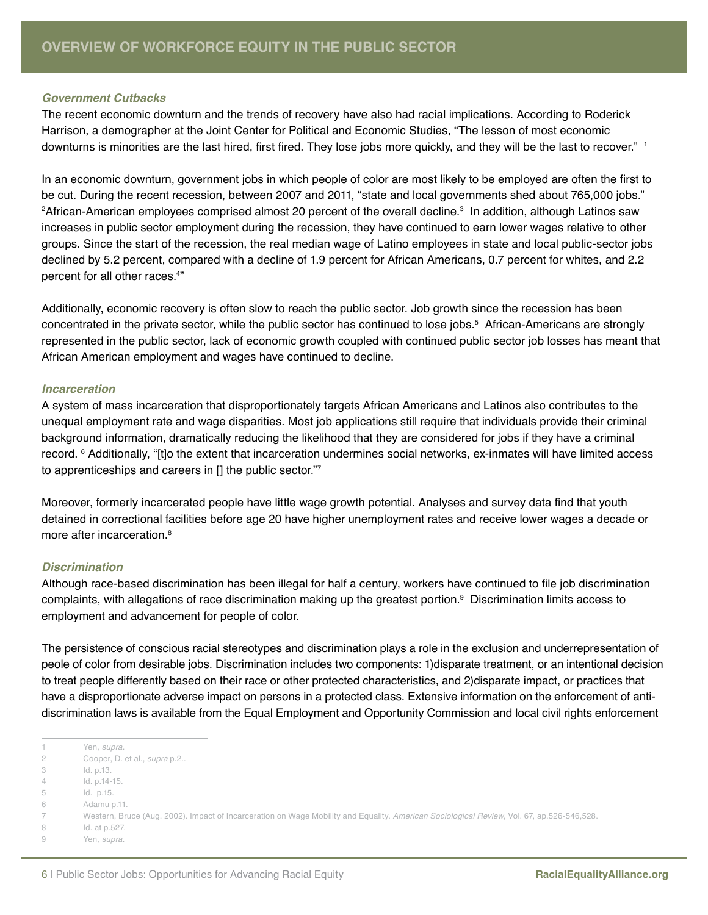#### *Government Cutbacks*

The recent economic downturn and the trends of recovery have also had racial implications. According to Roderick Harrison, a demographer at the Joint Center for Political and Economic Studies, "The lesson of most economic downturns is minorities are the last hired, first fired. They lose jobs more quickly, and they will be the last to recover." <sup>1</sup>

In an economic downturn, government jobs in which people of color are most likely to be employed are often the first to be cut. During the recent recession, between 2007 and 2011, "state and local governments shed about 765,000 jobs." 2African-American employees comprised almost 20 percent of the overall decline.3 In addition, although Latinos saw increases in public sector employment during the recession, they have continued to earn lower wages relative to other groups. Since the start of the recession, the real median wage of Latino employees in state and local public-sector jobs declined by 5.2 percent, compared with a decline of 1.9 percent for African Americans, 0.7 percent for whites, and 2.2 percent for all other races.4 "

Additionally, economic recovery is often slow to reach the public sector. Job growth since the recession has been concentrated in the private sector, while the public sector has continued to lose jobs.5 African-Americans are strongly represented in the public sector, lack of economic growth coupled with continued public sector job losses has meant that African American employment and wages have continued to decline.

#### *Incarceration*

A system of mass incarceration that disproportionately targets African Americans and Latinos also contributes to the unequal employment rate and wage disparities. Most job applications still require that individuals provide their criminal background information, dramatically reducing the likelihood that they are considered for jobs if they have a criminal record. 6 Additionally, "[t]o the extent that incarceration undermines social networks, ex-inmates will have limited access to apprenticeships and careers in [] the public sector."7

Moreover, formerly incarcerated people have little wage growth potential. Analyses and survey data find that youth detained in correctional facilities before age 20 have higher unemployment rates and receive lower wages a decade or more after incarceration.<sup>8</sup>

#### *Discrimination*

Although race-based discrimination has been illegal for half a century, workers have continued to file job discrimination complaints, with allegations of race discrimination making up the greatest portion.9 Discrimination limits access to employment and advancement for people of color.

The persistence of conscious racial stereotypes and discrimination plays a role in the exclusion and underrepresentation of peole of color from desirable jobs. Discrimination includes two components: 1)disparate treatment, or an intentional decision to treat people differently based on their race or other protected characteristics, and 2)disparate impact, or practices that have a disproportionate adverse impact on persons in a protected class. Extensive information on the enforcement of antidiscrimination laws is available from the Equal Employment and Opportunity Commission and local civil rights enforcement

8 Id. at p.527.

<sup>1</sup> Yen, *supra*.

<sup>2</sup> Cooper, D. et al., *supra* p.2..

<sup>3</sup> Id. p.13. 4 Id. p.14-15.

<sup>5</sup> Id. p.15.

<sup>6</sup> Adamu p.11.

<sup>7</sup> Western, Bruce (Aug. 2002). Impact of Incarceration on Wage Mobility and Equality. *American Sociological Review*, Vol. 67, ap.526-546,528.

<sup>9</sup> Yen, *supra*.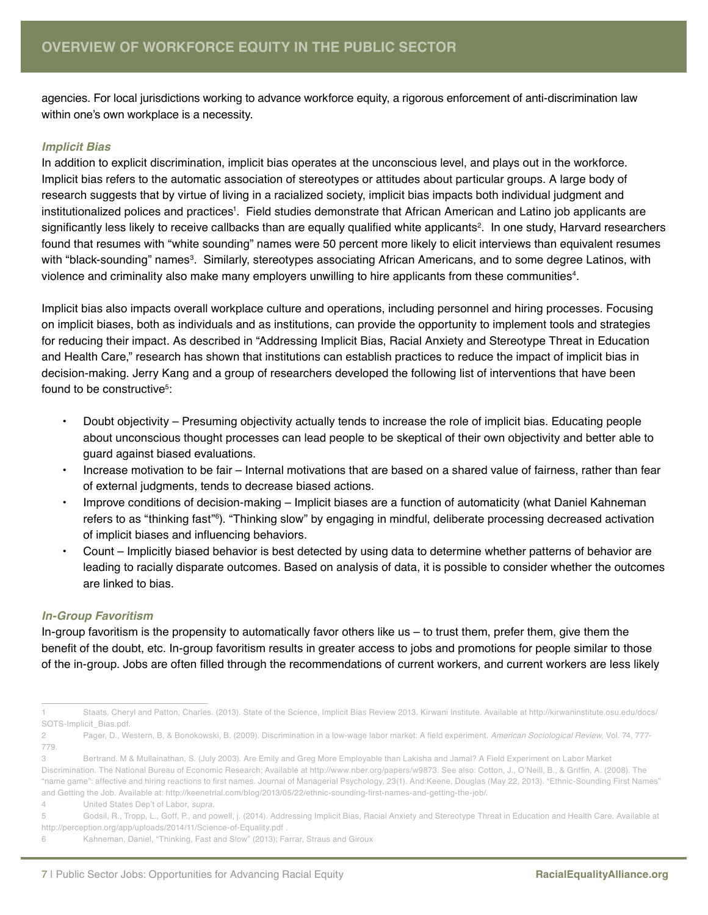agencies. For local jurisdictions working to advance workforce equity, a rigorous enforcement of anti-discrimination law within one's own workplace is a necessity.

#### *Implicit Bias*

In addition to explicit discrimination, implicit bias operates at the unconscious level, and plays out in the workforce. Implicit bias refers to the automatic association of stereotypes or attitudes about particular groups. A large body of research suggests that by virtue of living in a racialized society, implicit bias impacts both individual judgment and institutionalized polices and practices<sup>ı</sup>. Field studies demonstrate that African American and Latino job applicants are significantly less likely to receive callbacks than are equally qualified white applicants<sup>2</sup>. In one study, Harvard researchers found that resumes with "white sounding" names were 50 percent more likely to elicit interviews than equivalent resumes with "black-sounding" names<sup>3</sup>. Similarly, stereotypes associating African Americans, and to some degree Latinos, with violence and criminality also make many employers unwilling to hire applicants from these communities $^{\text{4}}$ .

Implicit bias also impacts overall workplace culture and operations, including personnel and hiring processes. Focusing on implicit biases, both as individuals and as institutions, can provide the opportunity to implement tools and strategies for reducing their impact. As described in "Addressing Implicit Bias, Racial Anxiety and Stereotype Threat in Education and Health Care," research has shown that institutions can establish practices to reduce the impact of implicit bias in decision-making. Jerry Kang and a group of researchers developed the following list of interventions that have been found to be constructive $5$ :

- Doubt objectivity Presuming objectivity actually tends to increase the role of implicit bias. Educating people about unconscious thought processes can lead people to be skeptical of their own objectivity and better able to guard against biased evaluations.
- Increase motivation to be fair Internal motivations that are based on a shared value of fairness, rather than fear of external judgments, tends to decrease biased actions.
- Improve conditions of decision-making Implicit biases are a function of automaticity (what Daniel Kahneman refers to as "thinking fast"<sup>6</sup>). "Thinking slow" by engaging in mindful, deliberate processing decreased activation of implicit biases and influencing behaviors.
- Count Implicitly biased behavior is best detected by using data to determine whether patterns of behavior are leading to racially disparate outcomes. Based on analysis of data, it is possible to consider whether the outcomes are linked to bias.

#### *In-Group Favoritism*

In-group favoritism is the propensity to automatically favor others like us – to trust them, prefer them, give them the benefit of the doubt, etc. In-group favoritism results in greater access to jobs and promotions for people similar to those of the in-group. Jobs are often filled through the recommendations of current workers, and current workers are less likely

<sup>1</sup> Staats, Cheryl and Patton, Charles. (2013). State of the Science, Implicit Bias Review 2013. Kirwani Institute. Available at http://kirwaninstitute.osu.edu/docs/ SOTS-Implicit\_Bias.pdf.

<sup>2</sup> Pager, D., Western, B, & Bonokowski, B. (2009). Discrimination in a low-wage labor market: A field experiment. *American Sociological Review*, Vol. 74, 777- 779.

<sup>3</sup> Bertrand. M & Mullainathan, S. (July 2003). Are Emily and Greg More Employable than Lakisha and Jamal? A Field Experiment on Labor Market Discrimination. The National Bureau of Economic Research; Available at http://www.nber.org/papers/w9873. See also: Cotton, J., O'Neill, B., & Griffin, A. (2008). The "name game": affective and hiring reactions to first names. Journal of Managerial Psychology, 23(1). And:Keene, Douglas (May 22, 2013). "Ethnic-Sounding First Names" and Getting the Job. Available at: http://keenetrial.com/blog/2013/05/22/ethnic-sounding-first-names-and-getting-the-job/.

<sup>4</sup> United States Dep't of Labor, *supra*.

<sup>5</sup> Godsil, R., Tropp, L., Goff, P., and powell, j. (2014). Addressing Implicit Bias, Racial Anxiety and Stereotype Threat in Education and Health Care. Available at http://perception.org/app/uploads/2014/11/Science-of-Equality.pdf .

<sup>6</sup> Kahneman, Daniel, "Thinking, Fast and Slow" (2013); Farrar, Straus and Giroux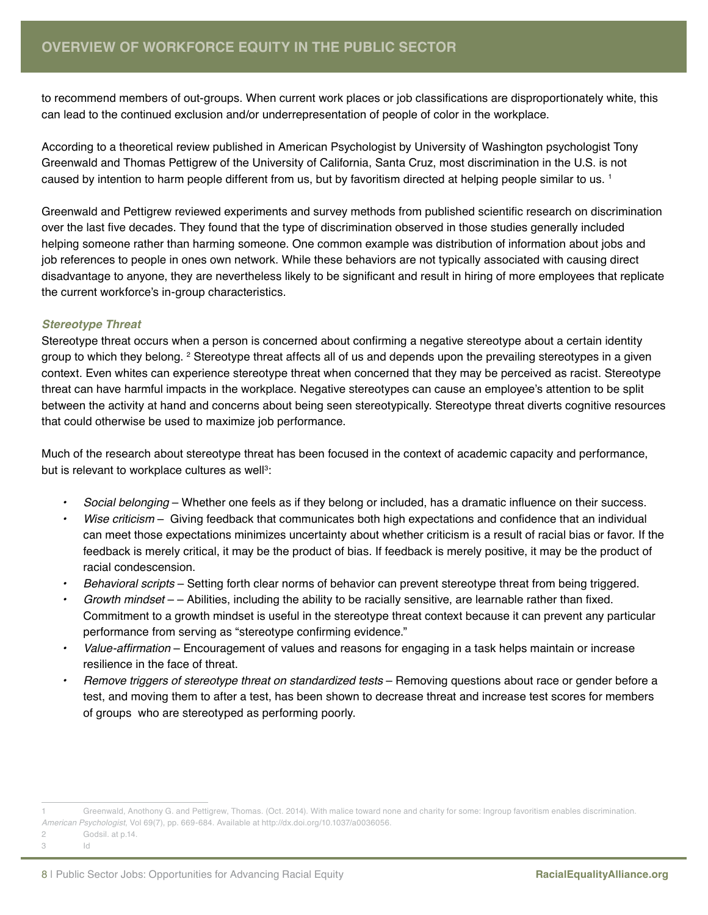to recommend members of out-groups. When current work places or job classifications are disproportionately white, this can lead to the continued exclusion and/or underrepresentation of people of color in the workplace.

According to a theoretical review published in American Psychologist by University of Washington psychologist Tony Greenwald and Thomas Pettigrew of the University of California, Santa Cruz, most discrimination in the U.S. is not caused by intention to harm people different from us, but by favoritism directed at helping people similar to us. 1

Greenwald and Pettigrew reviewed experiments and survey methods from published scientific research on discrimination over the last five decades. They found that the type of discrimination observed in those studies generally included helping someone rather than harming someone. One common example was distribution of information about jobs and job references to people in ones own network. While these behaviors are not typically associated with causing direct disadvantage to anyone, they are nevertheless likely to be significant and result in hiring of more employees that replicate the current workforce's in-group characteristics.

#### *Stereotype Threat*

Stereotype threat occurs when a person is concerned about confirming a negative stereotype about a certain identity group to which they belong. <sup>2</sup> Stereotype threat affects all of us and depends upon the prevailing stereotypes in a given context. Even whites can experience stereotype threat when concerned that they may be perceived as racist. Stereotype threat can have harmful impacts in the workplace. Negative stereotypes can cause an employee's attention to be split between the activity at hand and concerns about being seen stereotypically. Stereotype threat diverts cognitive resources that could otherwise be used to maximize job performance.

Much of the research about stereotype threat has been focused in the context of academic capacity and performance, but is relevant to workplace cultures as well $3$ :

- *• Social belonging*  Whether one feels as if they belong or included, has a dramatic influence on their success.
- *• Wise criticism* Giving feedback that communicates both high expectations and confidence that an individual can meet those expectations minimizes uncertainty about whether criticism is a result of racial bias or favor. If the feedback is merely critical, it may be the product of bias. If feedback is merely positive, it may be the product of racial condescension.
- *• Behavioral scripts* Setting forth clear norms of behavior can prevent stereotype threat from being triggered.
- *• Growth mindset*  – Abilities, including the ability to be racially sensitive, are learnable rather than fixed. Commitment to a growth mindset is useful in the stereotype threat context because it can prevent any particular performance from serving as "stereotype confirming evidence."
- *•* Value-affirmation Encouragement of values and reasons for engaging in a task helps maintain or increase resilience in the face of threat.
- *• Remove triggers of stereotype threat on standardized tests* Removing questions about race or gender before a test, and moving them to after a test, has been shown to decrease threat and increase test scores for members of groups who are stereotyped as performing poorly.

<sup>1</sup> Greenwald, Anothony G. and Pettigrew, Thomas. (Oct. 2014). With malice toward none and charity for some: Ingroup favoritism enables discrimination. *American Psychologist*, Vol 69(7), pp. 669-684. Available at http://dx.doi.org/10.1037/a0036056.

<sup>2</sup> Godsil. at p.14.

<sup>3</sup> Id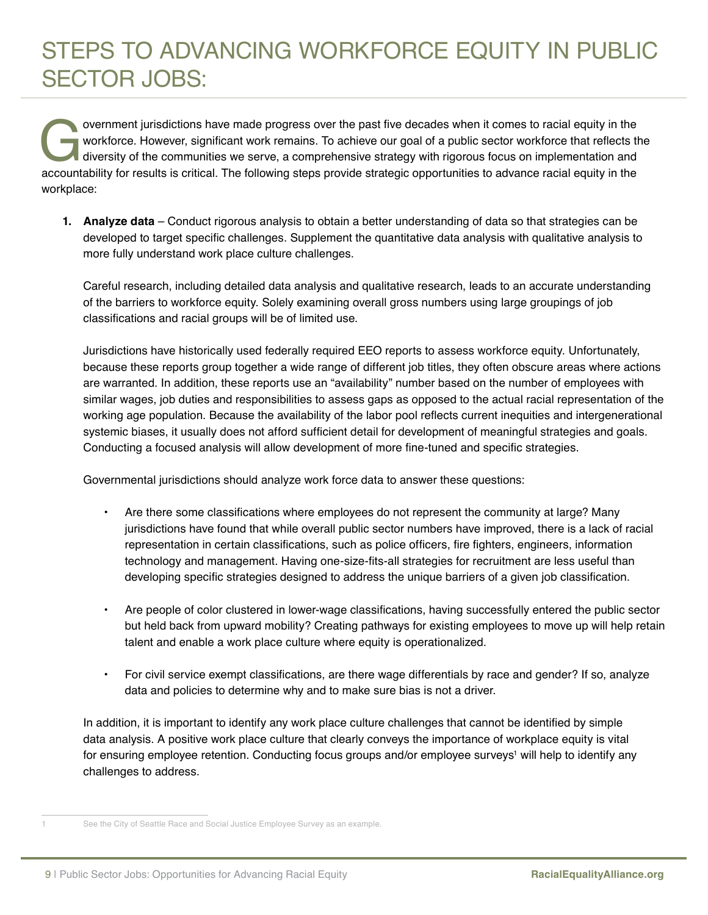# STEPS TO ADVANCING WORKFORCE EQUITY IN PUBLIC SECTOR JOBS:

overnment jurisdictions have made progress over the past five decades when it comes to racial equity in the workforce. However, significant work remains. To achieve our goal of a public sector workforce that reflects the d workforce. However, significant work remains. To achieve our goal of a public sector workforce that reflects the diversity of the communities we serve, a comprehensive strategy with rigorous focus on implementation and workplace:

**1. Analyze data** – Conduct rigorous analysis to obtain a better understanding of data so that strategies can be developed to target specific challenges. Supplement the quantitative data analysis with qualitative analysis to more fully understand work place culture challenges.

Careful research, including detailed data analysis and qualitative research, leads to an accurate understanding of the barriers to workforce equity. Solely examining overall gross numbers using large groupings of job classifications and racial groups will be of limited use.

Jurisdictions have historically used federally required EEO reports to assess workforce equity. Unfortunately, because these reports group together a wide range of different job titles, they often obscure areas where actions are warranted. In addition, these reports use an "availability" number based on the number of employees with similar wages, job duties and responsibilities to assess gaps as opposed to the actual racial representation of the working age population. Because the availability of the labor pool reflects current inequities and intergenerational systemic biases, it usually does not afford sufficient detail for development of meaningful strategies and goals. Conducting a focused analysis will allow development of more fine-tuned and specific strategies.

Governmental jurisdictions should analyze work force data to answer these questions:

- Are there some classifications where employees do not represent the community at large? Many jurisdictions have found that while overall public sector numbers have improved, there is a lack of racial representation in certain classifications, such as police officers, fire fighters, engineers, information technology and management. Having one-size-fits-all strategies for recruitment are less useful than developing specific strategies designed to address the unique barriers of a given job classification.
- Are people of color clustered in lower-wage classifications, having successfully entered the public sector but held back from upward mobility? Creating pathways for existing employees to move up will help retain talent and enable a work place culture where equity is operationalized.
- For civil service exempt classifications, are there wage differentials by race and gender? If so, analyze data and policies to determine why and to make sure bias is not a driver.

In addition, it is important to identify any work place culture challenges that cannot be identified by simple data analysis. A positive work place culture that clearly conveys the importance of workplace equity is vital for ensuring employee retention. Conducting focus groups and/or employee surveys' will help to identify any challenges to address.

See the City of Seattle Race and Social Justice Employee Survey as an example.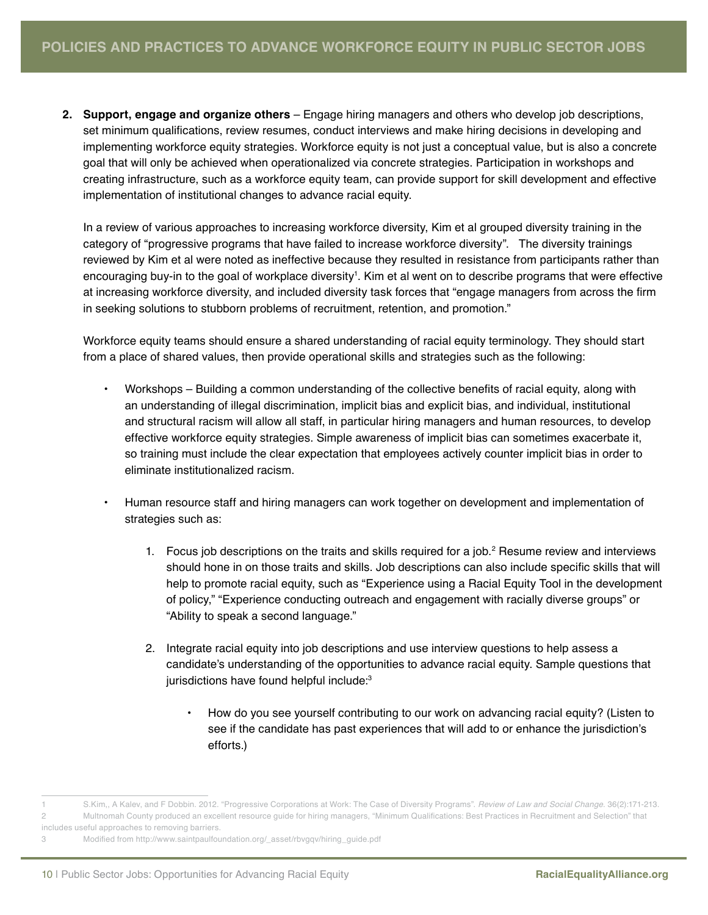**2. Support, engage and organize others** – Engage hiring managers and others who develop job descriptions, set minimum qualifications, review resumes, conduct interviews and make hiring decisions in developing and implementing workforce equity strategies. Workforce equity is not just a conceptual value, but is also a concrete goal that will only be achieved when operationalized via concrete strategies. Participation in workshops and creating infrastructure, such as a workforce equity team, can provide support for skill development and effective implementation of institutional changes to advance racial equity.

In a review of various approaches to increasing workforce diversity, Kim et al grouped diversity training in the category of "progressive programs that have failed to increase workforce diversity". The diversity trainings reviewed by Kim et al were noted as ineffective because they resulted in resistance from participants rather than encouraging buy-in to the goal of workplace diversity'. Kim et al went on to describe programs that were effective at increasing workforce diversity, and included diversity task forces that "engage managers from across the firm in seeking solutions to stubborn problems of recruitment, retention, and promotion."

Workforce equity teams should ensure a shared understanding of racial equity terminology. They should start from a place of shared values, then provide operational skills and strategies such as the following:

- Workshops Building a common understanding of the collective benefits of racial equity, along with an understanding of illegal discrimination, implicit bias and explicit bias, and individual, institutional and structural racism will allow all staff, in particular hiring managers and human resources, to develop effective workforce equity strategies. Simple awareness of implicit bias can sometimes exacerbate it, so training must include the clear expectation that employees actively counter implicit bias in order to eliminate institutionalized racism.
- Human resource staff and hiring managers can work together on development and implementation of strategies such as:
	- 1. Focus job descriptions on the traits and skills required for a job.<sup>2</sup> Resume review and interviews should hone in on those traits and skills. Job descriptions can also include specific skills that will help to promote racial equity, such as "Experience using a Racial Equity Tool in the development of policy," "Experience conducting outreach and engagement with racially diverse groups" or "Ability to speak a second language."
	- 2. Integrate racial equity into job descriptions and use interview questions to help assess a candidate's understanding of the opportunities to advance racial equity. Sample questions that jurisdictions have found helpful include:<sup>3</sup>
		- How do you see yourself contributing to our work on advancing racial equity? (Listen to see if the candidate has past experiences that will add to or enhance the jurisdiction's efforts.)

<sup>1</sup> S.Kim,, A Kalev, and F Dobbin. 2012. "Progressive Corporations at Work: The Case of Diversity Programs". *Review of Law and Social Change*. 36(2):171-213. 2 Multnomah County produced an excellent resource guide for hiring managers, "Minimum Qualifications: Best Practices in Recruitment and Selection" that

includes useful approaches to removing barriers.

<sup>3</sup> Modified from http://www.saintpaulfoundation.org/\_asset/rbvgqv/hiring\_guide.pdf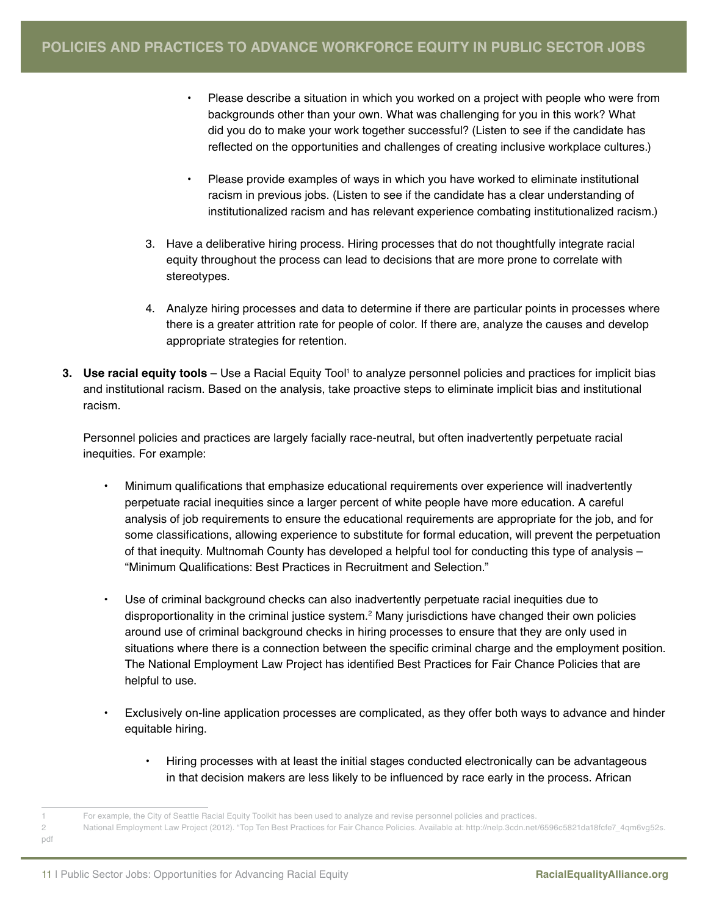- Please describe a situation in which you worked on a project with people who were from backgrounds other than your own. What was challenging for you in this work? What did you do to make your work together successful? (Listen to see if the candidate has reflected on the opportunities and challenges of creating inclusive workplace cultures.)
- Please provide examples of ways in which you have worked to eliminate institutional racism in previous jobs. (Listen to see if the candidate has a clear understanding of institutionalized racism and has relevant experience combating institutionalized racism.)
- 3. Have a deliberative hiring process. Hiring processes that do not thoughtfully integrate racial equity throughout the process can lead to decisions that are more prone to correlate with stereotypes.
- 4. Analyze hiring processes and data to determine if there are particular points in processes where there is a greater attrition rate for people of color. If there are, analyze the causes and develop appropriate strategies for retention.
- **3. Use racial equity tools** Use a Racial Equity Tool<sup>1</sup> to analyze personnel policies and practices for implicit bias and institutional racism. Based on the analysis, take proactive steps to eliminate implicit bias and institutional racism.

Personnel policies and practices are largely facially race-neutral, but often inadvertently perpetuate racial inequities. For example:

- Minimum qualifications that emphasize educational requirements over experience will inadvertently perpetuate racial inequities since a larger percent of white people have more education. A careful analysis of job requirements to ensure the educational requirements are appropriate for the job, and for some classifications, allowing experience to substitute for formal education, will prevent the perpetuation of that inequity. Multnomah County has developed a helpful tool for conducting this type of analysis – "Minimum Qualifications: Best Practices in Recruitment and Selection."
- Use of criminal background checks can also inadvertently perpetuate racial inequities due to disproportionality in the criminal justice system.2 Many jurisdictions have changed their own policies around use of criminal background checks in hiring processes to ensure that they are only used in situations where there is a connection between the specific criminal charge and the employment position. The National Employment Law Project has identified Best Practices for Fair Chance Policies that are helpful to use.
- Exclusively on-line application processes are complicated, as they offer both ways to advance and hinder equitable hiring.
	- Hiring processes with at least the initial stages conducted electronically can be advantageous in that decision makers are less likely to be influenced by race early in the process. African

<sup>1</sup> For example, the City of Seattle Racial Equity Toolkit has been used to analyze and revise personnel policies and practices.

<sup>2</sup> National Employment Law Project (2012). "Top Ten Best Practices for Fair Chance Policies. Available at: http://nelp.3cdn.net/6596c5821da18fcfe7\_4qm6vg52s.

pdf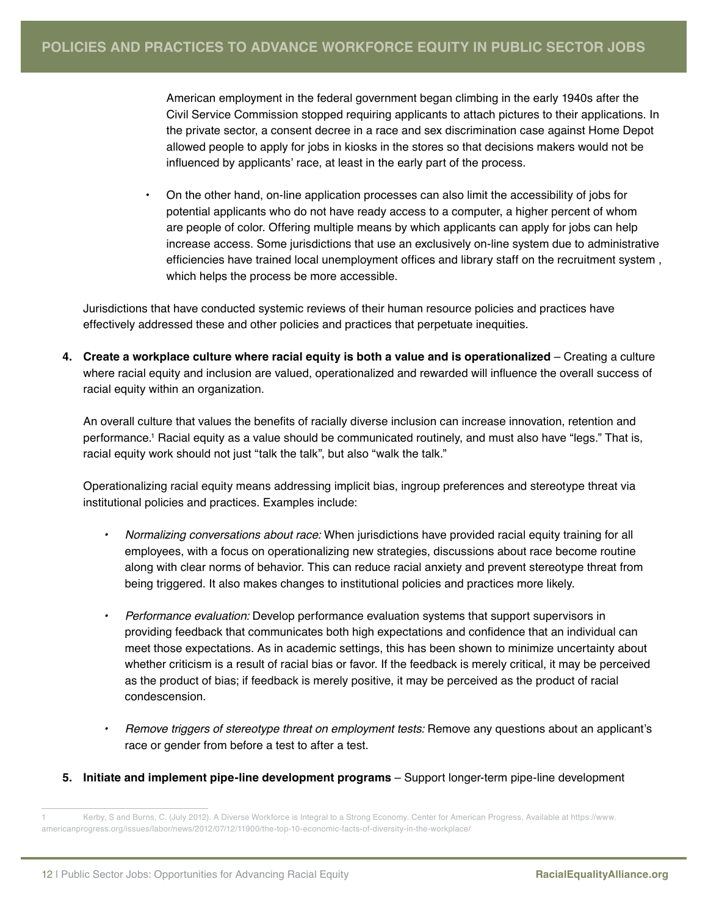American employment in the federal government began climbing in the early 1940s after the Civil Service Commission stopped requiring applicants to attach pictures to their applications. In the private sector, a consent decree in a race and sex discrimination case against Home Depot allowed people to apply for jobs in kiosks in the stores so that decisions makers would not be influenced by applicants' race, at least in the early part of the process.

• On the other hand, on-line application processes can also limit the accessibility of jobs for potential applicants who do not have ready access to a computer, a higher percent of whom are people of color. Offering multiple means by which applicants can apply for jobs can help increase access. Some jurisdictions that use an exclusively on-line system due to administrative efficiencies have trained local unemployment offices and library staff on the recruitment system , which helps the process be more accessible.

Jurisdictions that have conducted systemic reviews of their human resource policies and practices have effectively addressed these and other policies and practices that perpetuate inequities.

**4. Create a workplace culture where racial equity is both a value and is operationalized** – Creating a culture where racial equity and inclusion are valued, operationalized and rewarded will influence the overall success of racial equity within an organization.

An overall culture that values the benefits of racially diverse inclusion can increase innovation, retention and performance.' Racial equity as a value should be communicated routinely, and must also have "legs." That is, racial equity work should not just "talk the talk", but also "walk the talk."

Operationalizing racial equity means addressing implicit bias, ingroup preferences and stereotype threat via institutional policies and practices. Examples include:

- *• Normalizing conversations about race:* When jurisdictions have provided racial equity training for all employees, with a focus on operationalizing new strategies, discussions about race become routine along with clear norms of behavior. This can reduce racial anxiety and prevent stereotype threat from being triggered. It also makes changes to institutional policies and practices more likely.
- *• Performance evaluation:* Develop performance evaluation systems that support supervisors in providing feedback that communicates both high expectations and confidence that an individual can meet those expectations. As in academic settings, this has been shown to minimize uncertainty about whether criticism is a result of racial bias or favor. If the feedback is merely critical, it may be perceived as the product of bias; if feedback is merely positive, it may be perceived as the product of racial condescension.
- *• Remove triggers of stereotype threat on employment tests:* Remove any questions about an applicant's race or gender from before a test to after a test.
- **5. Initiate and implement pipe-line development programs** Support longer-term pipe-line development

<sup>1</sup> Kerby, S and Burns, C. (July 2012). A Diverse Workforce is Integral to a Strong Economy. Center for American Progress, Available at https://www. americanprogress.org/issues/labor/news/2012/07/12/11900/the-top-10-economic-facts-of-diversity-in-the-workplace/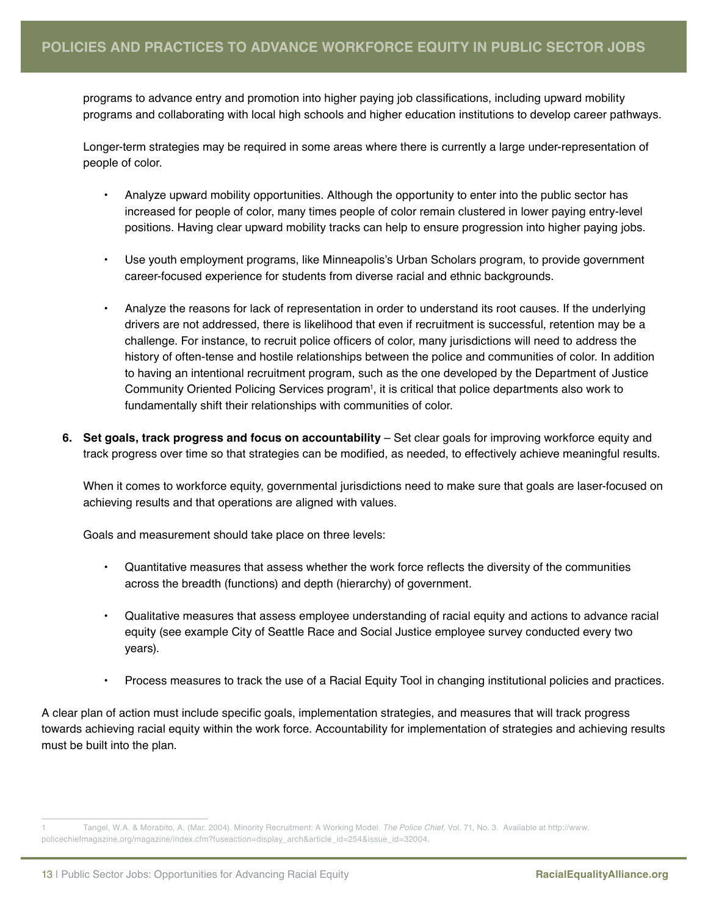programs to advance entry and promotion into higher paying job classifications, including upward mobility programs and collaborating with local high schools and higher education institutions to develop career pathways.

Longer-term strategies may be required in some areas where there is currently a large under-representation of people of color.

- Analyze upward mobility opportunities. Although the opportunity to enter into the public sector has increased for people of color, many times people of color remain clustered in lower paying entry-level positions. Having clear upward mobility tracks can help to ensure progression into higher paying jobs.
- Use youth employment programs, like Minneapolis's Urban Scholars program, to provide government career-focused experience for students from diverse racial and ethnic backgrounds.
- Analyze the reasons for lack of representation in order to understand its root causes. If the underlying drivers are not addressed, there is likelihood that even if recruitment is successful, retention may be a challenge. For instance, to recruit police officers of color, many jurisdictions will need to address the history of often-tense and hostile relationships between the police and communities of color. In addition to having an intentional recruitment program, such as the one developed by the Department of Justice Community Oriented Policing Services program<sup>1</sup>, it is critical that police departments also work to fundamentally shift their relationships with communities of color.
- **6. Set goals, track progress and focus on accountability** Set clear goals for improving workforce equity and track progress over time so that strategies can be modified, as needed, to effectively achieve meaningful results.

When it comes to workforce equity, governmental jurisdictions need to make sure that goals are laser-focused on achieving results and that operations are aligned with values.

Goals and measurement should take place on three levels:

- Quantitative measures that assess whether the work force reflects the diversity of the communities across the breadth (functions) and depth (hierarchy) of government.
- Qualitative measures that assess employee understanding of racial equity and actions to advance racial equity (see example City of Seattle Race and Social Justice employee survey conducted every two years).
- Process measures to track the use of a Racial Equity Tool in changing institutional policies and practices.

A clear plan of action must include specific goals, implementation strategies, and measures that will track progress towards achieving racial equity within the work force. Accountability for implementation of strategies and achieving results must be built into the plan.

<sup>1</sup> Tangel, W.A. & Morabito, A. (Mar. 2004). Minority Recruitment: A Working Model. *The Police Chief,* Vol. 71, No. 3. Available at http://www. policechiefmagazine.org/magazine/index.cfm?fuseaction=display\_arch&article\_id=254&issue\_id=32004.